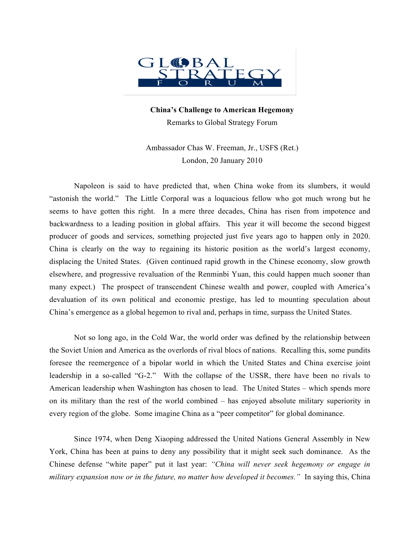

**China's Challenge to American Hegemony** Remarks to Global Strategy Forum

Ambassador Chas W. Freeman, Jr., USFS (Ret.) London, 20 January 2010

Napoleon is said to have predicted that, when China woke from its slumbers, it would "astonish the world." The Little Corporal was a loquacious fellow who got much wrong but he seems to have gotten this right. In a mere three decades, China has risen from impotence and backwardness to a leading position in global affairs. This year it will become the second biggest producer of goods and services, something projected just five years ago to happen only in 2020. China is clearly on the way to regaining its historic position as the world's largest economy, displacing the United States. (Given continued rapid growth in the Chinese economy, slow growth elsewhere, and progressive revaluation of the Renminbi Yuan, this could happen much sooner than many expect.) The prospect of transcendent Chinese wealth and power, coupled with America's devaluation of its own political and economic prestige, has led to mounting speculation about China's emergence as a global hegemon to rival and, perhaps in time, surpass the United States.

Not so long ago, in the Cold War, the world order was defined by the relationship between the Soviet Union and America as the overlords of rival blocs of nations. Recalling this, some pundits foresee the reemergence of a bipolar world in which the United States and China exercise joint leadership in a so-called "G-2." With the collapse of the USSR, there have been no rivals to American leadership when Washington has chosen to lead. The United States – which spends more on its military than the rest of the world combined – has enjoyed absolute military superiority in every region of the globe. Some imagine China as a "peer competitor" for global dominance.

Since 1974, when Deng Xiaoping addressed the United Nations General Assembly in New York, China has been at pains to deny any possibility that it might seek such dominance. As the Chinese defense "white paper" put it last year: *"China will never seek hegemony or engage in military expansion now or in the future, no matter how developed it becomes."* In saying this, China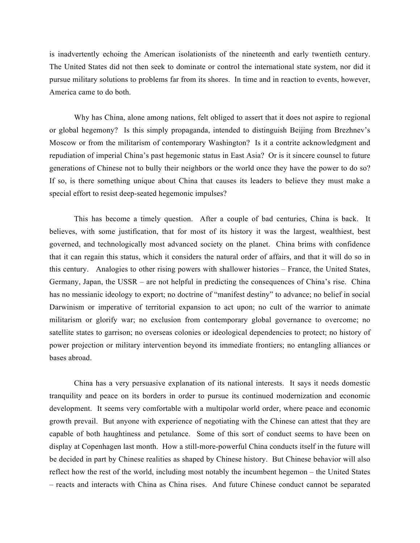is inadvertently echoing the American isolationists of the nineteenth and early twentieth century. The United States did not then seek to dominate or control the international state system, nor did it pursue military solutions to problems far from its shores. In time and in reaction to events, however, America came to do both.

Why has China, alone among nations, felt obliged to assert that it does not aspire to regional or global hegemony? Is this simply propaganda, intended to distinguish Beijing from Brezhnev's Moscow or from the militarism of contemporary Washington? Is it a contrite acknowledgment and repudiation of imperial China's past hegemonic status in East Asia? Or is it sincere counsel to future generations of Chinese not to bully their neighbors or the world once they have the power to do so? If so, is there something unique about China that causes its leaders to believe they must make a special effort to resist deep-seated hegemonic impulses?

This has become a timely question. After a couple of bad centuries, China is back. It believes, with some justification, that for most of its history it was the largest, wealthiest, best governed, and technologically most advanced society on the planet. China brims with confidence that it can regain this status, which it considers the natural order of affairs, and that it will do so in this century. Analogies to other rising powers with shallower histories – France, the United States, Germany, Japan, the USSR – are not helpful in predicting the consequences of China's rise. China has no messianic ideology to export; no doctrine of "manifest destiny" to advance; no belief in social Darwinism or imperative of territorial expansion to act upon; no cult of the warrior to animate militarism or glorify war; no exclusion from contemporary global governance to overcome; no satellite states to garrison; no overseas colonies or ideological dependencies to protect; no history of power projection or military intervention beyond its immediate frontiers; no entangling alliances or bases abroad.

China has a very persuasive explanation of its national interests. It says it needs domestic tranquility and peace on its borders in order to pursue its continued modernization and economic development. It seems very comfortable with a multipolar world order, where peace and economic growth prevail. But anyone with experience of negotiating with the Chinese can attest that they are capable of both haughtiness and petulance. Some of this sort of conduct seems to have been on display at Copenhagen last month. How a still-more-powerful China conducts itself in the future will be decided in part by Chinese realities as shaped by Chinese history. But Chinese behavior will also reflect how the rest of the world, including most notably the incumbent hegemon – the United States – reacts and interacts with China as China rises. And future Chinese conduct cannot be separated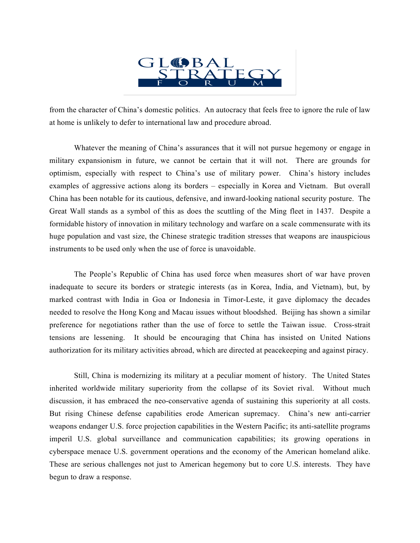

from the character of China's domestic politics. An autocracy that feels free to ignore the rule of law at home is unlikely to defer to international law and procedure abroad.

Whatever the meaning of China's assurances that it will not pursue hegemony or engage in military expansionism in future, we cannot be certain that it will not. There are grounds for optimism, especially with respect to China's use of military power. China's history includes examples of aggressive actions along its borders – especially in Korea and Vietnam. But overall China has been notable for its cautious, defensive, and inward-looking national security posture. The Great Wall stands as a symbol of this as does the scuttling of the Ming fleet in 1437. Despite a formidable history of innovation in military technology and warfare on a scale commensurate with its huge population and vast size, the Chinese strategic tradition stresses that weapons are inauspicious instruments to be used only when the use of force is unavoidable.

The People's Republic of China has used force when measures short of war have proven inadequate to secure its borders or strategic interests (as in Korea, India, and Vietnam), but, by marked contrast with India in Goa or Indonesia in Timor-Leste, it gave diplomacy the decades needed to resolve the Hong Kong and Macau issues without bloodshed. Beijing has shown a similar preference for negotiations rather than the use of force to settle the Taiwan issue. Cross-strait tensions are lessening. It should be encouraging that China has insisted on United Nations authorization for its military activities abroad, which are directed at peacekeeping and against piracy.

Still, China is modernizing its military at a peculiar moment of history. The United States inherited worldwide military superiority from the collapse of its Soviet rival. Without much discussion, it has embraced the neo-conservative agenda of sustaining this superiority at all costs. But rising Chinese defense capabilities erode American supremacy. China's new anti-carrier weapons endanger U.S. force projection capabilities in the Western Pacific; its anti-satellite programs imperil U.S. global surveillance and communication capabilities; its growing operations in cyberspace menace U.S. government operations and the economy of the American homeland alike. These are serious challenges not just to American hegemony but to core U.S. interests. They have begun to draw a response.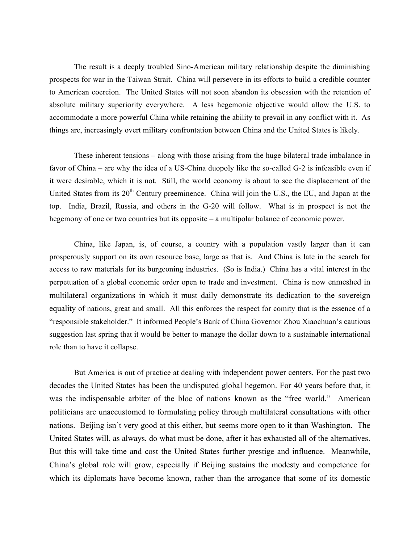The result is a deeply troubled Sino-American military relationship despite the diminishing prospects for war in the Taiwan Strait. China will persevere in its efforts to build a credible counter to American coercion. The United States will not soon abandon its obsession with the retention of absolute military superiority everywhere. A less hegemonic objective would allow the U.S. to accommodate a more powerful China while retaining the ability to prevail in any conflict with it. As things are, increasingly overt military confrontation between China and the United States is likely.

These inherent tensions – along with those arising from the huge bilateral trade imbalance in favor of China – are why the idea of a US-China duopoly like the so-called G-2 is infeasible even if it were desirable, which it is not. Still, the world economy is about to see the displacement of the United States from its  $20<sup>th</sup>$  Century preeminence. China will join the U.S., the EU, and Japan at the top. India, Brazil, Russia, and others in the G-20 will follow. What is in prospect is not the hegemony of one or two countries but its opposite – a multipolar balance of economic power.

China, like Japan, is, of course, a country with a population vastly larger than it can prosperously support on its own resource base, large as that is. And China is late in the search for access to raw materials for its burgeoning industries. (So is India.) China has a vital interest in the perpetuation of a global economic order open to trade and investment. China is now enmeshed in multilateral organizations in which it must daily demonstrate its dedication to the sovereign equality of nations, great and small. All this enforces the respect for comity that is the essence of a "responsible stakeholder." It informed People's Bank of China Governor Zhou Xiaochuan's cautious suggestion last spring that it would be better to manage the dollar down to a sustainable international role than to have it collapse.

But America is out of practice at dealing with independent power centers. For the past two decades the United States has been the undisputed global hegemon. For 40 years before that, it was the indispensable arbiter of the bloc of nations known as the "free world." American politicians are unaccustomed to formulating policy through multilateral consultations with other nations. Beijing isn't very good at this either, but seems more open to it than Washington. The United States will, as always, do what must be done, after it has exhausted all of the alternatives. But this will take time and cost the United States further prestige and influence. Meanwhile, China's global role will grow, especially if Beijing sustains the modesty and competence for which its diplomats have become known, rather than the arrogance that some of its domestic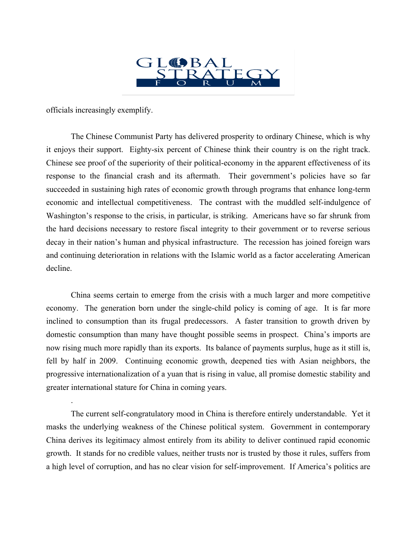

officials increasingly exemplify.

.

The Chinese Communist Party has delivered prosperity to ordinary Chinese, which is why it enjoys their support. Eighty-six percent of Chinese think their country is on the right track. Chinese see proof of the superiority of their political-economy in the apparent effectiveness of its response to the financial crash and its aftermath. Their government's policies have so far succeeded in sustaining high rates of economic growth through programs that enhance long-term economic and intellectual competitiveness. The contrast with the muddled self-indulgence of Washington's response to the crisis, in particular, is striking. Americans have so far shrunk from the hard decisions necessary to restore fiscal integrity to their government or to reverse serious decay in their nation's human and physical infrastructure. The recession has joined foreign wars and continuing deterioration in relations with the Islamic world as a factor accelerating American decline.

China seems certain to emerge from the crisis with a much larger and more competitive economy. The generation born under the single-child policy is coming of age. It is far more inclined to consumption than its frugal predecessors. A faster transition to growth driven by domestic consumption than many have thought possible seems in prospect. China's imports are now rising much more rapidly than its exports. Its balance of payments surplus, huge as it still is, fell by half in 2009. Continuing economic growth, deepened ties with Asian neighbors, the progressive internationalization of a yuan that is rising in value, all promise domestic stability and greater international stature for China in coming years.

The current self-congratulatory mood in China is therefore entirely understandable. Yet it masks the underlying weakness of the Chinese political system. Government in contemporary China derives its legitimacy almost entirely from its ability to deliver continued rapid economic growth. It stands for no credible values, neither trusts nor is trusted by those it rules, suffers from a high level of corruption, and has no clear vision for self-improvement. If America's politics are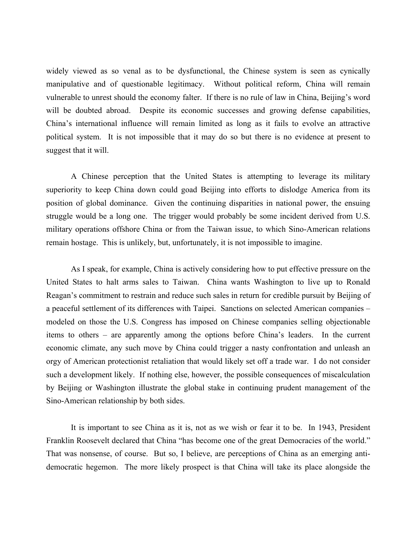widely viewed as so venal as to be dysfunctional, the Chinese system is seen as cynically manipulative and of questionable legitimacy. Without political reform, China will remain vulnerable to unrest should the economy falter. If there is no rule of law in China, Beijing's word will be doubted abroad. Despite its economic successes and growing defense capabilities, China's international influence will remain limited as long as it fails to evolve an attractive political system. It is not impossible that it may do so but there is no evidence at present to suggest that it will.

A Chinese perception that the United States is attempting to leverage its military superiority to keep China down could goad Beijing into efforts to dislodge America from its position of global dominance. Given the continuing disparities in national power, the ensuing struggle would be a long one. The trigger would probably be some incident derived from U.S. military operations offshore China or from the Taiwan issue, to which Sino-American relations remain hostage. This is unlikely, but, unfortunately, it is not impossible to imagine.

As I speak, for example, China is actively considering how to put effective pressure on the United States to halt arms sales to Taiwan. China wants Washington to live up to Ronald Reagan's commitment to restrain and reduce such sales in return for credible pursuit by Beijing of a peaceful settlement of its differences with Taipei. Sanctions on selected American companies – modeled on those the U.S. Congress has imposed on Chinese companies selling objectionable items to others – are apparently among the options before China's leaders. In the current economic climate, any such move by China could trigger a nasty confrontation and unleash an orgy of American protectionist retaliation that would likely set off a trade war. I do not consider such a development likely. If nothing else, however, the possible consequences of miscalculation by Beijing or Washington illustrate the global stake in continuing prudent management of the Sino-American relationship by both sides.

It is important to see China as it is, not as we wish or fear it to be. In 1943, President Franklin Roosevelt declared that China "has become one of the great Democracies of the world." That was nonsense, of course. But so, I believe, are perceptions of China as an emerging antidemocratic hegemon. The more likely prospect is that China will take its place alongside the